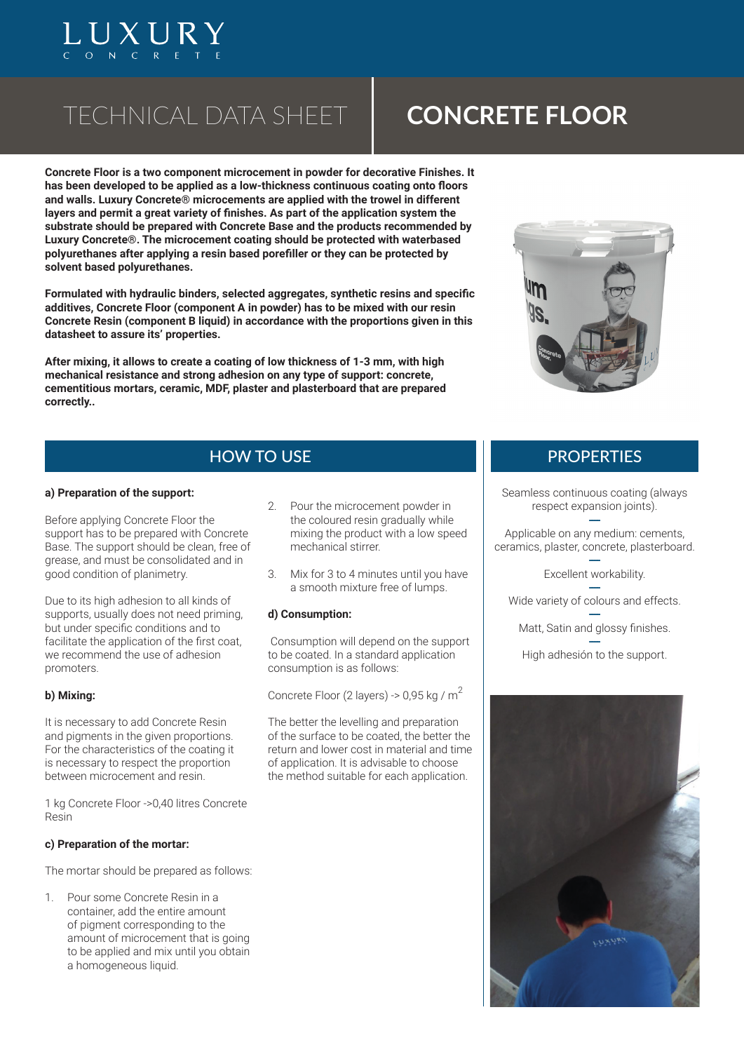# TECHNICAL DATA SHEET

UXUR

# **CONCRETE FLOOR**

**Concrete Floor is a two component microcement in powder for decorative Finishes. It has been developed to be applied as a low-thickness continuous coating onto floors and walls. Luxury Concrete® microcements are applied with the trowel in different layers and permit a great variety of finishes. As part of the application system the substrate should be prepared with Concrete Base and the products recommended by Luxury Concrete®. The microcement coating should be protected with waterbased polyurethanes after applying a resin based porefiller or they can be protected by solvent based polyurethanes.**

**Formulated with hydraulic binders, selected aggregates, synthetic resins and specific additives, Concrete Floor (component A in powder) has to be mixed with our resin Concrete Resin (component B liquid) in accordance with the proportions given in this datasheet to assure its' properties.**

**After mixing, it allows to create a coating of low thickness of 1-3 mm, with high mechanical resistance and strong adhesion on any type of support: concrete, cementitious mortars, ceramic, MDF, plaster and plasterboard that are prepared correctly..**



# HOW TO USE THE RESERVE ENGINEERING AND THE PROPERTIES

### **a) Preparation of the support:**

Before applying Concrete Floor the support has to be prepared with Concrete Base. The support should be clean, free of grease, and must be consolidated and in good condition of planimetry.

Due to its high adhesion to all kinds of supports, usually does not need priming, but under specific conditions and to facilitate the application of the first coat, we recommend the use of adhesion promoters.

### **b) Mixing:**

It is necessary to add Concrete Resin and pigments in the given proportions. For the characteristics of the coating it is necessary to respect the proportion between microcement and resin.

1 kg Concrete Floor ->0,40 litres Concrete Resin

### **c) Preparation of the mortar:**

The mortar should be prepared as follows:

1. Pour some Concrete Resin in a container, add the entire amount of pigment corresponding to the amount of microcement that is going to be applied and mix until you obtain a homogeneous liquid.

- 2. Pour the microcement powder in the coloured resin gradually while mixing the product with a low speed mechanical stirrer.
- 3. Mix for 3 to 4 minutes until you have a smooth mixture free of lumps.

### **d) Consumption:**

 Consumption will depend on the support to be coated. In a standard application consumption is as follows:

Concrete Floor (2 layers) -> 0,95 kg /  $m^2$ 

The better the levelling and preparation of the surface to be coated, the better the return and lower cost in material and time of application. It is advisable to choose the method suitable for each application.

Seamless continuous coating (always respect expansion joints).

**----** Applicable on any medium: cements, ceramics, plaster, concrete, plasterboard.

> **----** Excellent workability.

**----** Wide variety of colours and effects.

**----** Matt, Satin and glossy finishes.

**----** High adhesión to the support.

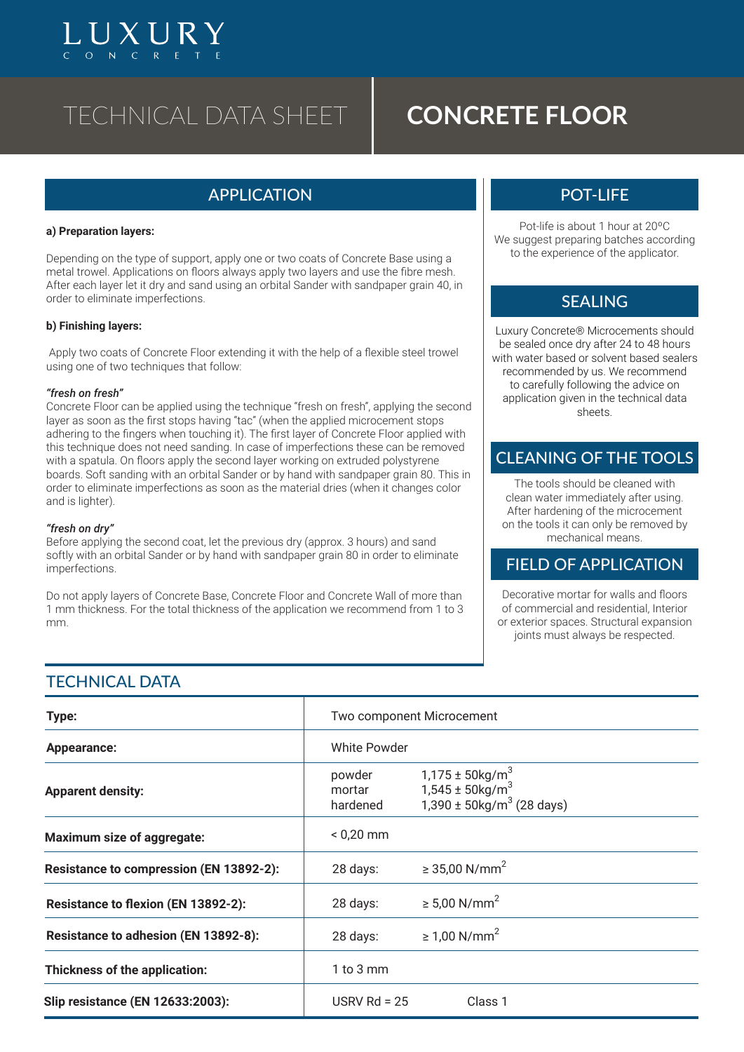# TECHNICAL DATA SHEET **CONCRETE FLOOR**

# APPLICATION POT-LIFE

#### **a) Preparation layers:**

 $\left[\right]$   $\left[\right]$   $\left[\right]$   $\left[\right]$   $\left[\right]$   $\left[\right]$   $\left[\right]$ 

Depending on the type of support, apply one or two coats of Concrete Base using a metal trowel. Applications on floors always apply two layers and use the fibre mesh. After each layer let it dry and sand using an orbital Sander with sandpaper grain 40, in order to eliminate imperfections.

### **b) Finishing layers:**

 Apply two coats of Concrete Floor extending it with the help of a flexible steel trowel using one of two techniques that follow:

#### *"fresh on fresh"*

Concrete Floor can be applied using the technique "fresh on fresh", applying the second layer as soon as the first stops having "tac" (when the applied microcement stops adhering to the fingers when touching it). The first layer of Concrete Floor applied with this technique does not need sanding. In case of imperfections these can be removed with a spatula. On floors apply the second layer working on extruded polystyrene boards. Soft sanding with an orbital Sander or by hand with sandpaper grain 80. This in order to eliminate imperfections as soon as the material dries (when it changes color and is lighter).

#### *"fresh on dry"*

Before applying the second coat, let the previous dry (approx. 3 hours) and sand softly with an orbital Sander or by hand with sandpaper grain 80 in order to eliminate imperfections.

Do not apply layers of Concrete Base, Concrete Floor and Concrete Wall of more than 1 mm thickness. For the total thickness of the application we recommend from 1 to 3 mm.

Pot-life is about 1 hour at 20ºC We suggest preparing batches according to the experience of the applicator.

## **SFALING**

Luxury Concrete® Microcements should be sealed once dry after 24 to 48 hours with water based or solvent based sealers recommended by us. We recommend to carefully following the advice on application given in the technical data sheets.

## CLEANING OF THE TOOLS

The tools should be cleaned with clean water immediately after using. After hardening of the microcement on the tools it can only be removed by mechanical means.

## FIELD OF APPLICATION

Decorative mortar for walls and floors of commercial and residential, Interior or exterior spaces. Structural expansion joints must always be respected.

# **TECHNICAL DATA**

| Type:                                      | Two component Microcement    |                                                                                                               |
|--------------------------------------------|------------------------------|---------------------------------------------------------------------------------------------------------------|
| Appearance:                                | White Powder                 |                                                                                                               |
| <b>Apparent density:</b>                   | powder<br>mortar<br>hardened | $1,175 \pm 50$ kg/m <sup>3</sup><br>1,545 ± 50kg/m <sup>3</sup><br>$1,390 \pm 50$ kg/m <sup>3</sup> (28 days) |
| Maximum size of aggregate:                 | $< 0.20$ mm                  |                                                                                                               |
| Resistance to compression (EN 13892-2):    | 28 days:                     | ≥ 35,00 N/mm <sup>2</sup>                                                                                     |
| <b>Resistance to flexion (EN 13892-2):</b> | 28 days:                     | ≥ 5,00 N/mm <sup>2</sup>                                                                                      |
| Resistance to adhesion (EN 13892-8):       | 28 days:                     | ≥ 1,00 N/mm <sup>2</sup>                                                                                      |
| Thickness of the application:              | $1$ to $3$ mm                |                                                                                                               |
| <b>Slip resistance (EN 12633:2003):</b>    | USRV Rd = $25$               | Class <sub>1</sub>                                                                                            |